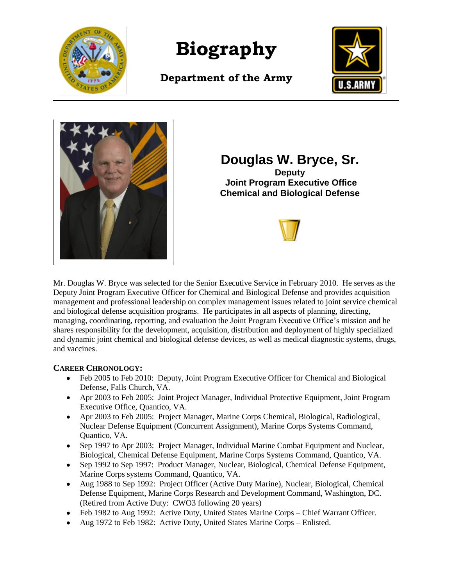

**Biography**

**Department of the Army**





**Douglas W. Bryce, Sr. Deputy Joint Program Executive Office Chemical and Biological Defense**



Mr. Douglas W. Bryce was selected for the Senior Executive Service in February 2010. He serves as the Deputy Joint Program Executive Officer for Chemical and Biological Defense and provides acquisition management and professional leadership on complex management issues related to joint service chemical and biological defense acquisition programs. He participates in all aspects of planning, directing, managing, coordinating, reporting, and evaluation the Joint Program Executive Office's mission and he shares responsibility for the development, acquisition, distribution and deployment of highly specialized and dynamic joint chemical and biological defense devices, as well as medical diagnostic systems, drugs, and vaccines.

# **CAREER CHRONOLOGY:**

- Feb 2005 to Feb 2010: Deputy, Joint Program Executive Officer for Chemical and Biological Defense, Falls Church, VA.
- Apr 2003 to Feb 2005: Joint Project Manager, Individual Protective Equipment, Joint Program Executive Office, Quantico, VA.
- Apr 2003 to Feb 2005: Project Manager, Marine Corps Chemical, Biological, Radiological, Nuclear Defense Equipment (Concurrent Assignment), Marine Corps Systems Command, Quantico, VA.
- Sep 1997 to Apr 2003: Project Manager, Individual Marine Combat Equipment and Nuclear, Biological, Chemical Defense Equipment, Marine Corps Systems Command, Quantico, VA.
- Sep 1992 to Sep 1997: Product Manager, Nuclear, Biological, Chemical Defense Equipment, Marine Corps systems Command, Quantico, VA.
- Aug 1988 to Sep 1992: Project Officer (Active Duty Marine), Nuclear, Biological, Chemical Defense Equipment, Marine Corps Research and Development Command, Washington, DC. (Retired from Active Duty: CWO3 following 20 years)
- Feb 1982 to Aug 1992: Active Duty, United States Marine Corps Chief Warrant Officer.
- Aug 1972 to Feb 1982: Active Duty, United States Marine Corps Enlisted.